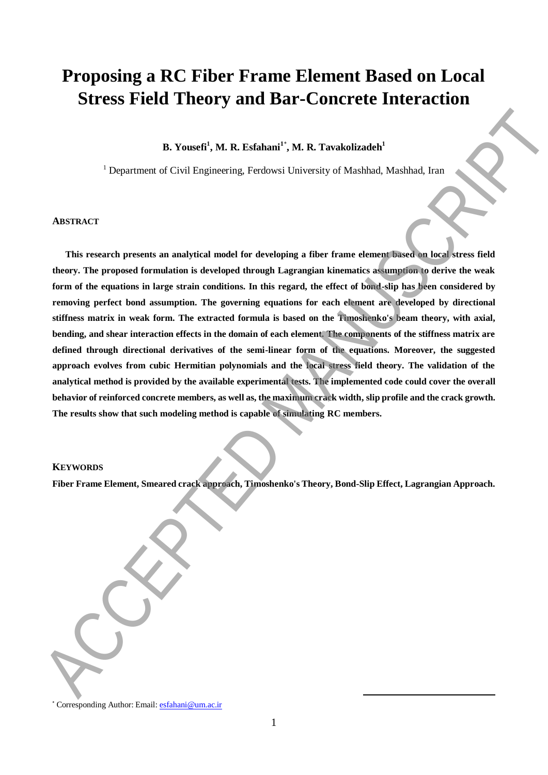# **Proposing a RC Fiber Frame Element Based on Local Stress Field Theory and Bar-Concrete Interaction**

# **B. Yousefi<sup>1</sup> , M. R. Esfahani<sup>1</sup>**\* **, M. R. Tavakolizadeh<sup>1</sup>**

<sup>1</sup> Department of Civil Engineering, Ferdowsi University of Mashhad, Mashhad, Iran

#### **ABSTRACT**

**This research presents an analytical model for developing a fiber frame element based on local stress field theory. The proposed formulation is developed through Lagrangian kinematics assumption to derive the weak form of the equations in large strain conditions. In this regard, the effect of bond-slip has been considered by removing perfect bond assumption. The governing equations for each element are developed by directional stiffness matrix in weak form. The extracted formula is based on the Timoshenko's beam theory, with axial, bending, and shear interaction effects in the domain of each element. The components of the stiffness matrix are defined through directional derivatives of the semi-linear form of the equations. Moreover, the suggested approach evolves from cubic Hermitian polynomials and the local stress field theory. The validation of the analytical method is provided by the available experimental tests. The implemented code could cover the overall behavior of reinforced concrete members, as well as, the maximum crack width, slip profile and the crack growth. The results show that such modeling method is capable of simulating RC members. BLUESS FIERD FIREOTY 2010 DEF-CONFERENCE INTERFERIENCE (SEE AND ACCEPTED MANUSCRIPTION)**<br> **B. Youeti'**, M. R. Exchannel', M. R. Twelsband, Machinal, Interball, Inter-<br>
This research presents an analytical model for develo

## **KEYWORDS**

**Fiber Frame Element, Smeared crack approach, Timoshenko's Theory, Bond-Slip Effect, Lagrangian Approach.**

**.** 

<sup>\*</sup> Corresponding Author: Email[: esfahani@um.ac.ir](mailto:esfahani@um.ac.ir)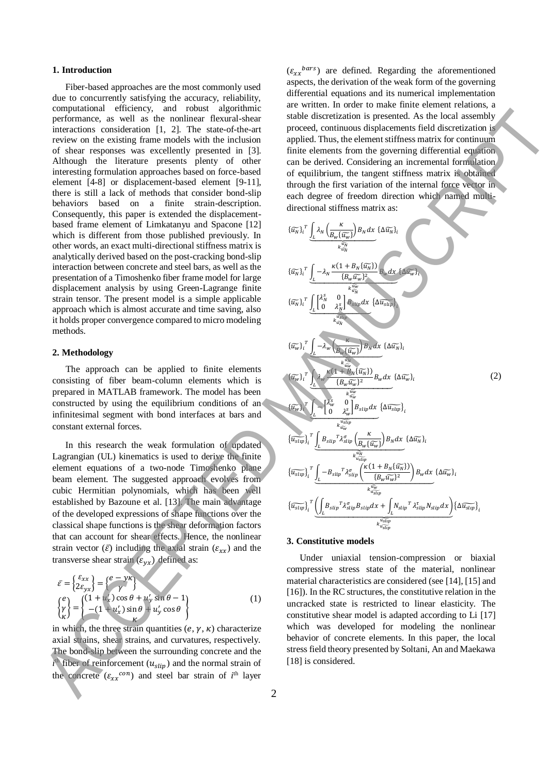### **1. Introduction**

Fiber-based approaches are the most commonly used due to concurrently satisfying the accuracy, reliability, computational efficiency, and robust algorithmic performance, as well as the nonlinear flexural-shear interactions consideration [1, 2]. The state-of-the-art review on the existing frame models with the inclusion of shear responses was excellently presented in [3]. Although the literature presents plenty of other interesting formulation approaches based on force-based element [4-8] or displacement-based element [9-11], there is still a lack of methods that consider bond-slip behaviors based on a finite strain-description. Consequently, this paper is extended the displacementbased frame element of Limkatanyu and Spacone [12] which is different from those published previously. In other words, an exact multi-directional stiffness matrix is analytically derived based on the post-cracking bond-slip interaction between concrete and steel bars, as well as the presentation of a Timoshenko fiber frame model for large displacement analysis by using Green-Lagrange finite strain tensor. The present model is a simple applicable approach which is almost accurate and time saving, also it holds proper convergence compared to micro modeling methods.

# **2. Methodology**

The approach can be applied to finite elements consisting of fiber beam-column elements which is prepared in MATLAB framework. The model has been constructed by using the equilibrium conditions of an infinitesimal segment with bond interfaces at bars and constant external forces.

In this research the weak formulation of updated Lagrangian (UL) kinematics is used to derive the finite element equations of a two-node Timoshenko plane beam element. The suggested approach evolves from cubic Hermitian polynomials, which has been well established by Bazoune et al. [13]. The main advantage of the developed expressions of shape functions over the classical shape functions is the shear deformation factors that can account for shear effects. Hence, the nonlinear strain vector  $(\bar{\varepsilon})$  including the axial strain  $(\varepsilon_{xx})$  and the transverse shear strain  $(\varepsilon_{vr})$  defined as:

$$
\bar{\varepsilon} = \begin{cases} \varepsilon_{xx} \\ 2\varepsilon_{yx} \end{cases} = \begin{cases} e - y\kappa \\ \gamma \end{cases}
$$
\n
$$
\begin{cases} e \\ \gamma \end{cases} = \begin{cases} (1 + u'_x) \cos \theta + u'_y \sin \theta - 1 \\ -(1 + u'_x) \sin \theta + u'_y \cos \theta \end{cases}
$$
\n(1)

in which, the three strain quantities  $(e, \gamma, \kappa)$  characterize axial strains, shear strains, and curvatures, respectively. The bond-slip between the surrounding concrete and the  $i^{\text{th}}$  fiber of reinforcement  $(u_{slip})$  and the normal strain of the concrete  $(\varepsilon_{xx}^{con})$  and steel bar strain of *i*<sup>th</sup> layer

 $(\varepsilon_{xx}^{bars})$  are defined. Regarding the aforementioned aspects, the derivation of the weak form of the governing differential equations and its numerical implementation are written. In order to make finite element relations, a stable discretization is presented. As the local assembly proceed, continuous displacements field discretization is applied. Thus, the element stiffness matrix for continuum finite elements from the governing differential equation can be derived. Considering an incremental formulation of equilibrium, the tangent stiffness matrix is obtained through the first variation of the internal force vector in each degree of freedom direction which named multidirectional stiffness matrix as:

(2) {̃ } ∫ ( {̃} ) ⏟ ̃ ̃ {Δ̃ } {̃ } ∫ − (1 + {̃ }) {̃} 2 ⏟ ̃ ̃ {Δ̃} {̃ } ∫ [ 0 0 ] ⏟ ̃ ̃ {Δ̃} {̃} ∫ − ( {̃} ) ⏟ ̃ ̃ {Δ̃ } {̃} ∫ (1 + {̃ }) {̃} 2 ⏟ ̃ ̃ {Δ̃} {̃} ∫ − [ 0 0 ] ⏟ ̃ ̃ {Δ̃} {̃} ∫ ( {̃} ) ⏟ ̃ ̃ {Δ̃ } {̃} ∫ − ( (1 + {̃ }) {̃} 2 ) ⏟ ̃ ̃ {Δ̃} {̃} (∫ + ∫ ) ⏟ ̃ ̃ {Δ̃} [18] is considered. ACCEPTED MANUSCRIPT

#### **3. Constitutive models**

Under uniaxial tension-compression or biaxial compressive stress state of the material, nonlinear material characteristics are considered (see [14], [15] and [16]). In the RC structures, the constitutive relation in the uncracked state is restricted to linear elasticity. The constitutive shear model is adapted according to Li [17] which was developed for modeling the nonlinear behavior of concrete elements. In this paper, the local stress field theory presented by Soltani, An and Maekawa